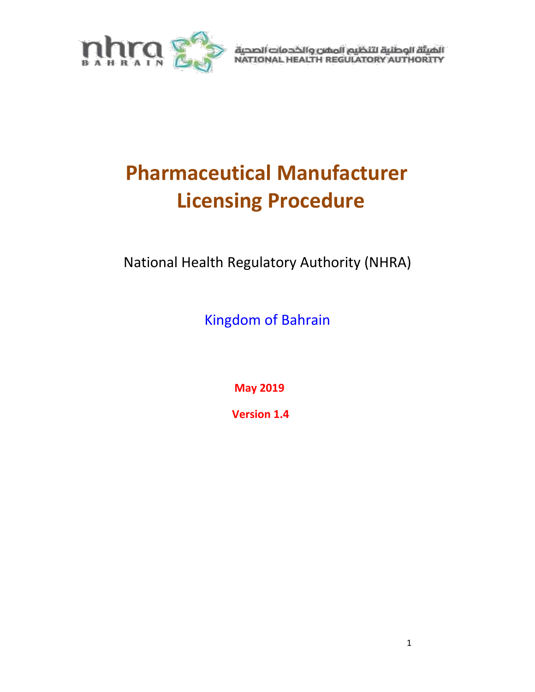

الهيئة الوطنية لتنظيم المفن والخدمات الصحية<br>NATIONAL HEALTH REGULATORY AUTHORITY

# **Pharmaceutical Manufacturer Licensing Procedure**

National Health Regulatory Authority (NHRA)

Kingdom of Bahrain

**May 2019**

**Version 1.4**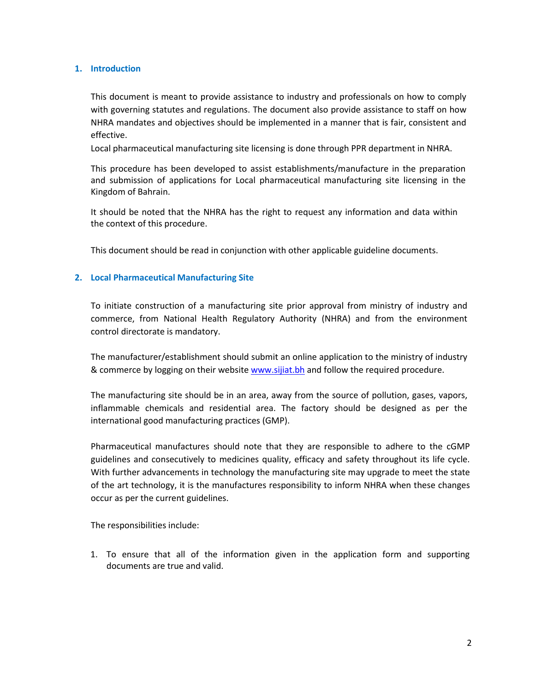#### **1. Introduction**

This document is meant to provide assistance to industry and professionals on how to comply with governing statutes and regulations. The document also provide assistance to staff on how NHRA mandates and objectives should be implemented in a manner that is fair, consistent and effective.

Local pharmaceutical manufacturing site licensing is done through PPR department in NHRA.

This procedure has been developed to assist establishments/manufacture in the preparation and submission of applications for Local pharmaceutical manufacturing site licensing in the Kingdom of Bahrain.

It should be noted that the NHRA has the right to request any information and data within the context of this procedure.

This document should be read in conjunction with other applicable guideline documents.

#### **2. Local Pharmaceutical Manufacturing Site**

To initiate construction of a manufacturing site prior approval from ministry of industry and commerce, from National Health Regulatory Authority (NHRA) and from the environment control directorate is mandatory.

The manufacturer/establishment should submit an online application to the ministry of industry & commerce by logging on their website [www.sijiat.bh](http://www.sijiat.bh/) and follow the required procedure.

The manufacturing site should be in an area, away from the source of pollution, gases, vapors, inflammable chemicals and residential area. The factory should be designed as per the international good manufacturing practices (GMP).

Pharmaceutical manufactures should note that they are responsible to adhere to the cGMP guidelines and consecutively to medicines quality, efficacy and safety throughout its life cycle. With further advancements in technology the manufacturing site may upgrade to meet the state of the art technology, it is the manufactures responsibility to inform NHRA when these changes occur as per the current guidelines.

The responsibilities include:

1. To ensure that all of the information given in the application form and supporting documents are true and valid.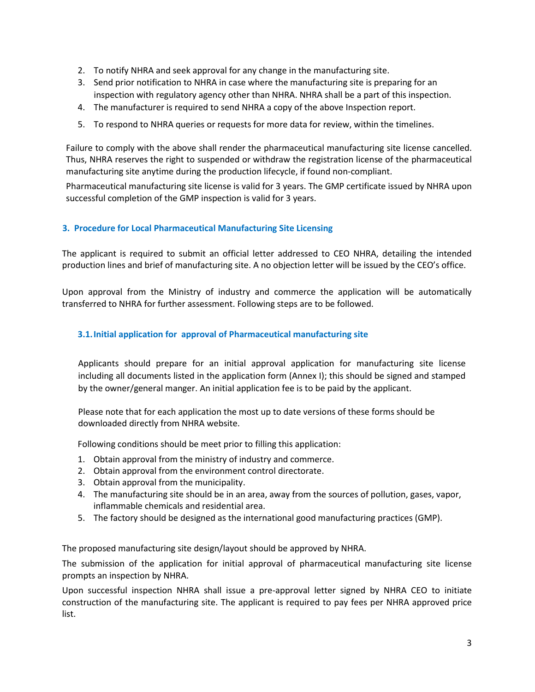- 2. To notify NHRA and seek approval for any change in the manufacturing site.
- 3. Send prior notification to NHRA in case where the manufacturing site is preparing for an inspection with regulatory agency other than NHRA. NHRA shall be a part of this inspection.
- 4. The manufacturer is required to send NHRA a copy of the above Inspection report.
- 5. To respond to NHRA queries or requests for more data for review, within the timelines.

Failure to comply with the above shall render the pharmaceutical manufacturing site license cancelled. Thus, NHRA reserves the right to suspended or withdraw the registration license of the pharmaceutical manufacturing site anytime during the production lifecycle, if found non-compliant.

Pharmaceutical manufacturing site license is valid for 3 years. The GMP certificate issued by NHRA upon successful completion of the GMP inspection is valid for 3 years.

# **3. Procedure for Local Pharmaceutical Manufacturing Site Licensing**

The applicant is required to submit an official letter addressed to CEO NHRA, detailing the intended production lines and brief of manufacturing site. A no objection letter will be issued by the CEO's office.

Upon approval from the Ministry of industry and commerce the application will be automatically transferred to NHRA for further assessment. Following steps are to be followed.

# **3.1.Initial application for approval of Pharmaceutical manufacturing site**

Applicants should prepare for an initial approval application for manufacturing site license including all documents listed in the application form (Annex I); this should be signed and stamped by the owner/general manger. An initial application fee is to be paid by the applicant.

Please note that for each application the most up to date versions of these forms should be downloaded directly from NHRA website.

Following conditions should be meet prior to filling this application:

- 1. Obtain approval from the ministry of industry and commerce.
- 2. Obtain approval from the environment control directorate.
- 3. Obtain approval from the municipality.
- 4. The manufacturing site should be in an area, away from the sources of pollution, gases, vapor, inflammable chemicals and residential area.
- 5. The factory should be designed as the international good manufacturing practices (GMP).

The proposed manufacturing site design/layout should be approved by NHRA.

The submission of the application for initial approval of pharmaceutical manufacturing site license prompts an inspection by NHRA.

Upon successful inspection NHRA shall issue a pre-approval letter signed by NHRA CEO to initiate construction of the manufacturing site. The applicant is required to pay fees per NHRA approved price list.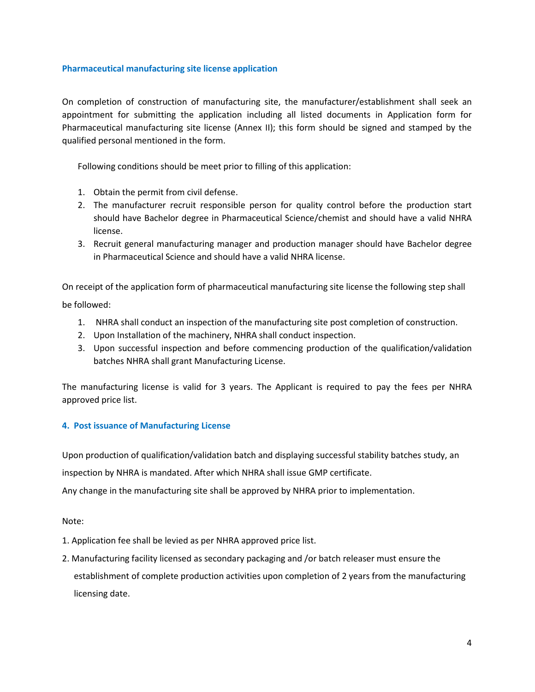#### **Pharmaceutical manufacturing site license application**

On completion of construction of manufacturing site, the manufacturer/establishment shall seek an appointment for submitting the application including all listed documents in Application form for Pharmaceutical manufacturing site license (Annex II); this form should be signed and stamped by the qualified personal mentioned in the form.

Following conditions should be meet prior to filling of this application:

- 1. Obtain the permit from civil defense.
- 2. The manufacturer recruit responsible person for quality control before the production start should have Bachelor degree in Pharmaceutical Science/chemist and should have a valid NHRA license.
- 3. Recruit general manufacturing manager and production manager should have Bachelor degree in Pharmaceutical Science and should have a valid NHRA license.

On receipt of the application form of pharmaceutical manufacturing site license the following step shall

be followed:

- 1. NHRA shall conduct an inspection of the manufacturing site post completion of construction.
- 2. Upon Installation of the machinery, NHRA shall conduct inspection.
- 3. Upon successful inspection and before commencing production of the qualification/validation batches NHRA shall grant Manufacturing License.

The manufacturing license is valid for 3 years. The Applicant is required to pay the fees per NHRA approved price list.

### **4. Post issuance of Manufacturing License**

Upon production of qualification/validation batch and displaying successful stability batches study, an inspection by NHRA is mandated. After which NHRA shall issue GMP certificate.

Any change in the manufacturing site shall be approved by NHRA prior to implementation.

Note:

- 1. Application fee shall be levied as per NHRA approved price list.
- 2. Manufacturing facility licensed as secondary packaging and /or batch releaser must ensure the establishment of complete production activities upon completion of 2 years from the manufacturing licensing date.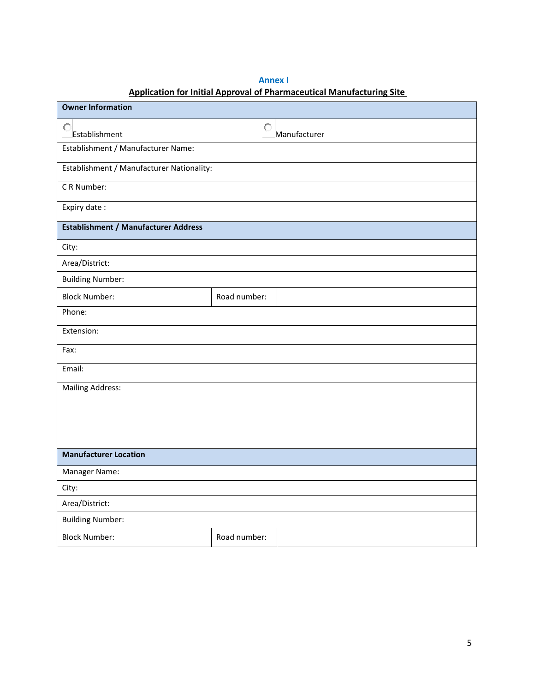# **Annex I Application for Initial Approval of Pharmaceutical Manufacturing Site**

| <b>Owner Information</b>                    |                                           |  |  |  |  |
|---------------------------------------------|-------------------------------------------|--|--|--|--|
| $\circ$<br>Establishment                    | $\circ$<br>Manufacturer                   |  |  |  |  |
| Establishment / Manufacturer Name:          |                                           |  |  |  |  |
|                                             | Establishment / Manufacturer Nationality: |  |  |  |  |
| CR Number:                                  |                                           |  |  |  |  |
| Expiry date:                                |                                           |  |  |  |  |
| <b>Establishment / Manufacturer Address</b> |                                           |  |  |  |  |
| City:                                       |                                           |  |  |  |  |
| Area/District:                              |                                           |  |  |  |  |
| <b>Building Number:</b>                     |                                           |  |  |  |  |
| <b>Block Number:</b>                        | Road number:                              |  |  |  |  |
| Phone:                                      |                                           |  |  |  |  |
| Extension:                                  |                                           |  |  |  |  |
| Fax:                                        |                                           |  |  |  |  |
| Email:                                      |                                           |  |  |  |  |
| <b>Mailing Address:</b>                     |                                           |  |  |  |  |
|                                             |                                           |  |  |  |  |
|                                             |                                           |  |  |  |  |
|                                             |                                           |  |  |  |  |
| <b>Manufacturer Location</b>                |                                           |  |  |  |  |
| Manager Name:                               |                                           |  |  |  |  |
| City:                                       |                                           |  |  |  |  |
| Area/District:                              |                                           |  |  |  |  |
| <b>Building Number:</b>                     |                                           |  |  |  |  |
| <b>Block Number:</b>                        | Road number:                              |  |  |  |  |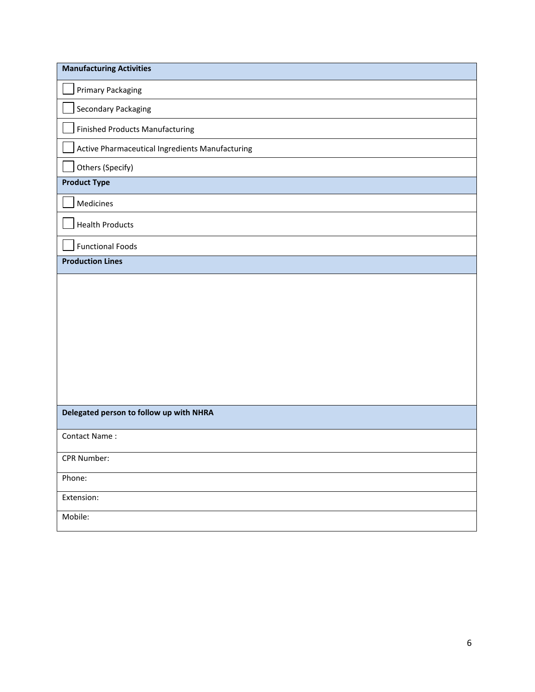| <b>Manufacturing Activities</b>                 |
|-------------------------------------------------|
| <b>Primary Packaging</b>                        |
| Secondary Packaging                             |
| <b>Finished Products Manufacturing</b>          |
| Active Pharmaceutical Ingredients Manufacturing |
| Others (Specify)                                |
| <b>Product Type</b>                             |
| Medicines                                       |
| <b>Health Products</b>                          |
| <b>Functional Foods</b>                         |
| <b>Production Lines</b>                         |
|                                                 |
| Delegated person to follow up with NHRA         |
| Contact Name:                                   |
| CPR Number:                                     |
| Phone:                                          |
| Extension:                                      |
| Mobile:                                         |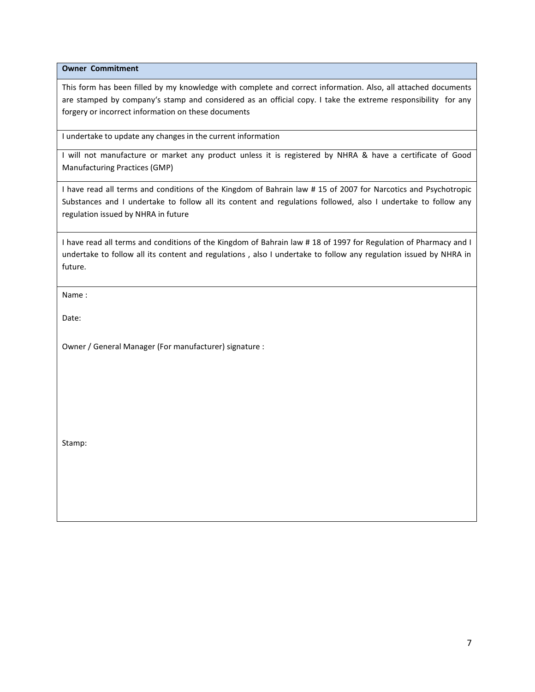**Owner Commitment**

This form has been filled by my knowledge with complete and correct information. Also, all attached documents are stamped by company's stamp and considered as an official copy. I take the extreme responsibility for any forgery or incorrect information on these documents

I undertake to update any changes in the current information

I will not manufacture or market any product unless it is registered by NHRA & have a certificate of Good Manufacturing Practices (GMP)

I have read all terms and conditions of the Kingdom of Bahrain law # 15 of 2007 for Narcotics and Psychotropic Substances and I undertake to follow all its content and regulations followed, also I undertake to follow any regulation issued by NHRA in future

I have read all terms and conditions of the Kingdom of Bahrain law # 18 of 1997 for Regulation of Pharmacy and I undertake to follow all its content and regulations , also I undertake to follow any regulation issued by NHRA in future.

Name :

Date:

Owner / General Manager (For manufacturer) signature :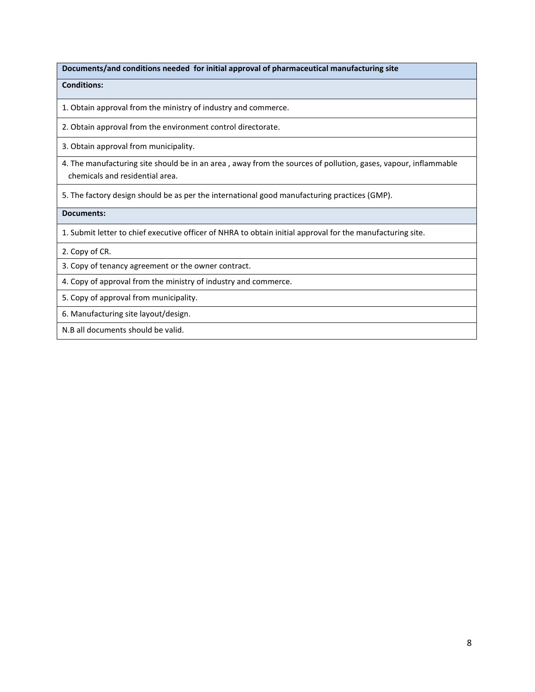**Documents/and conditions needed for initial approval of pharmaceutical manufacturing site** 

**Conditions:**

1. Obtain approval from the ministry of industry and commerce.

2. Obtain approval from the environment control directorate.

3. Obtain approval from municipality.

4. The manufacturing site should be in an area , away from the sources of pollution, gases, vapour, inflammable chemicals and residential area.

5. The factory design should be as per the international good manufacturing practices (GMP).

**Documents:**

1. Submit letter to chief executive officer of NHRA to obtain initial approval for the manufacturing site.

2. Copy of CR.

3. Copy of tenancy agreement or the owner contract.

4. Copy of approval from the ministry of industry and commerce.

5. Copy of approval from municipality.

6. Manufacturing site layout/design.

N.B all documents should be valid.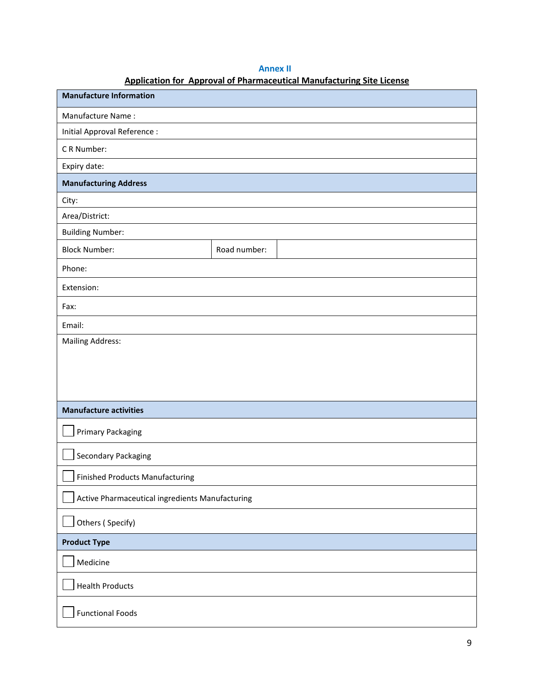# **Annex II**

# **Application for Approval of Pharmaceutical Manufacturing Site License**

| <b>Manufacture Information</b>                  |              |  |  |
|-------------------------------------------------|--------------|--|--|
| Manufacture Name:                               |              |  |  |
| Initial Approval Reference :                    |              |  |  |
| CR Number:                                      |              |  |  |
| Expiry date:                                    |              |  |  |
| <b>Manufacturing Address</b>                    |              |  |  |
| City:                                           |              |  |  |
| Area/District:                                  |              |  |  |
| <b>Building Number:</b>                         |              |  |  |
| <b>Block Number:</b>                            | Road number: |  |  |
| Phone:                                          |              |  |  |
| Extension:                                      |              |  |  |
| Fax:                                            |              |  |  |
| Email:                                          |              |  |  |
| <b>Mailing Address:</b>                         |              |  |  |
|                                                 |              |  |  |
|                                                 |              |  |  |
|                                                 |              |  |  |
| <b>Manufacture activities</b>                   |              |  |  |
| <b>Primary Packaging</b>                        |              |  |  |
| Secondary Packaging                             |              |  |  |
| <b>Finished Products Manufacturing</b>          |              |  |  |
| Active Pharmaceutical ingredients Manufacturing |              |  |  |
| Others (Specify)                                |              |  |  |
| <b>Product Type</b>                             |              |  |  |
| Medicine                                        |              |  |  |
| <b>Health Products</b>                          |              |  |  |
| <b>Functional Foods</b>                         |              |  |  |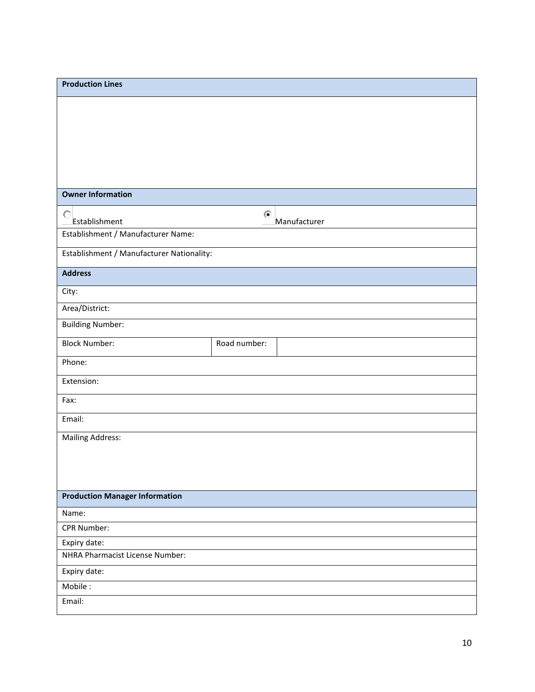| <b>Owner Information</b><br>$\circ$<br>$\left( \bullet \right)$<br>Establishment<br>Manufacturer<br>Establishment / Manufacturer Name:<br>Establishment / Manufacturer Nationality:<br><b>Address</b><br>City:<br>Area/District:<br><b>Building Number:</b><br><b>Block Number:</b><br>Road number:<br>Phone:<br>Extension:<br>Fax:<br>Email:<br><b>Mailing Address:</b><br><b>Production Manager Information</b><br>Name:<br><b>CPR Number:</b><br>Expiry date:<br>NHRA Pharmacist License Number:<br>Expiry date:<br>Mobile:<br>Email: | <b>Production Lines</b> |  |
|------------------------------------------------------------------------------------------------------------------------------------------------------------------------------------------------------------------------------------------------------------------------------------------------------------------------------------------------------------------------------------------------------------------------------------------------------------------------------------------------------------------------------------------|-------------------------|--|
|                                                                                                                                                                                                                                                                                                                                                                                                                                                                                                                                          |                         |  |
|                                                                                                                                                                                                                                                                                                                                                                                                                                                                                                                                          |                         |  |
|                                                                                                                                                                                                                                                                                                                                                                                                                                                                                                                                          |                         |  |
|                                                                                                                                                                                                                                                                                                                                                                                                                                                                                                                                          |                         |  |
|                                                                                                                                                                                                                                                                                                                                                                                                                                                                                                                                          |                         |  |
|                                                                                                                                                                                                                                                                                                                                                                                                                                                                                                                                          |                         |  |
|                                                                                                                                                                                                                                                                                                                                                                                                                                                                                                                                          |                         |  |
|                                                                                                                                                                                                                                                                                                                                                                                                                                                                                                                                          |                         |  |
|                                                                                                                                                                                                                                                                                                                                                                                                                                                                                                                                          |                         |  |
|                                                                                                                                                                                                                                                                                                                                                                                                                                                                                                                                          |                         |  |
|                                                                                                                                                                                                                                                                                                                                                                                                                                                                                                                                          |                         |  |
|                                                                                                                                                                                                                                                                                                                                                                                                                                                                                                                                          |                         |  |
|                                                                                                                                                                                                                                                                                                                                                                                                                                                                                                                                          |                         |  |
|                                                                                                                                                                                                                                                                                                                                                                                                                                                                                                                                          |                         |  |
|                                                                                                                                                                                                                                                                                                                                                                                                                                                                                                                                          |                         |  |
|                                                                                                                                                                                                                                                                                                                                                                                                                                                                                                                                          |                         |  |
|                                                                                                                                                                                                                                                                                                                                                                                                                                                                                                                                          |                         |  |
|                                                                                                                                                                                                                                                                                                                                                                                                                                                                                                                                          |                         |  |
|                                                                                                                                                                                                                                                                                                                                                                                                                                                                                                                                          |                         |  |
|                                                                                                                                                                                                                                                                                                                                                                                                                                                                                                                                          |                         |  |
|                                                                                                                                                                                                                                                                                                                                                                                                                                                                                                                                          |                         |  |
|                                                                                                                                                                                                                                                                                                                                                                                                                                                                                                                                          |                         |  |
|                                                                                                                                                                                                                                                                                                                                                                                                                                                                                                                                          |                         |  |
|                                                                                                                                                                                                                                                                                                                                                                                                                                                                                                                                          |                         |  |
|                                                                                                                                                                                                                                                                                                                                                                                                                                                                                                                                          |                         |  |
|                                                                                                                                                                                                                                                                                                                                                                                                                                                                                                                                          |                         |  |
|                                                                                                                                                                                                                                                                                                                                                                                                                                                                                                                                          |                         |  |
|                                                                                                                                                                                                                                                                                                                                                                                                                                                                                                                                          |                         |  |
|                                                                                                                                                                                                                                                                                                                                                                                                                                                                                                                                          |                         |  |
|                                                                                                                                                                                                                                                                                                                                                                                                                                                                                                                                          |                         |  |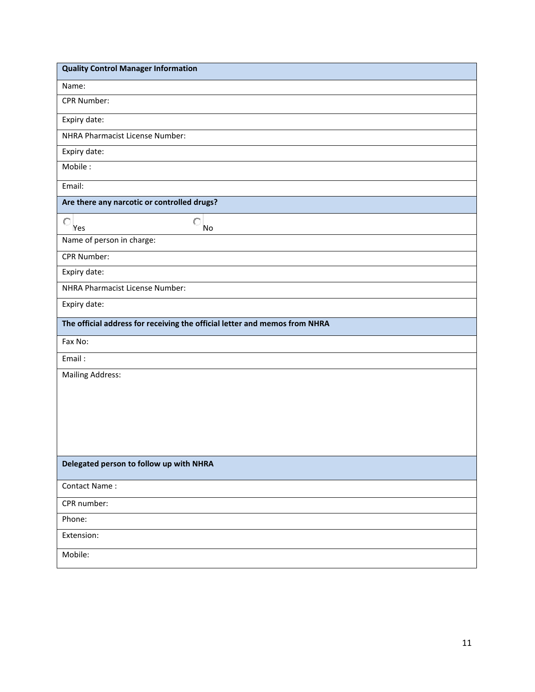| <b>Quality Control Manager Information</b>                                 |
|----------------------------------------------------------------------------|
| Name:                                                                      |
| CPR Number:                                                                |
| Expiry date:                                                               |
| NHRA Pharmacist License Number:                                            |
| Expiry date:                                                               |
| Mobile:                                                                    |
| Email:                                                                     |
| Are there any narcotic or controlled drugs?                                |
| $\circ$<br>$\circ$<br>Yes<br>No                                            |
| Name of person in charge:                                                  |
| CPR Number:                                                                |
| Expiry date:                                                               |
| NHRA Pharmacist License Number:                                            |
| Expiry date:                                                               |
| The official address for receiving the official letter and memos from NHRA |
| Fax No:                                                                    |
| Email:                                                                     |
| <b>Mailing Address:</b>                                                    |
|                                                                            |
|                                                                            |
|                                                                            |
|                                                                            |
| Delegated person to follow up with NHRA                                    |
| Contact Name:                                                              |
| CPR number:                                                                |
| Phone:                                                                     |
| Extension:                                                                 |
| Mobile:                                                                    |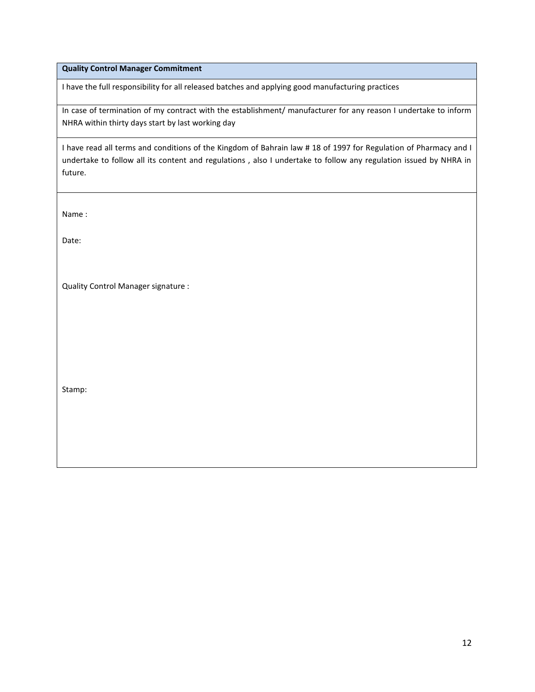### **Quality Control Manager Commitment**

I have the full responsibility for all released batches and applying good manufacturing practices

In case of termination of my contract with the establishment/ manufacturer for any reason I undertake to inform NHRA within thirty days start by last working day

I have read all terms and conditions of the Kingdom of Bahrain law # 18 of 1997 for Regulation of Pharmacy and I undertake to follow all its content and regulations , also I undertake to follow any regulation issued by NHRA in future.

Name :

Date:

Quality Control Manager signature :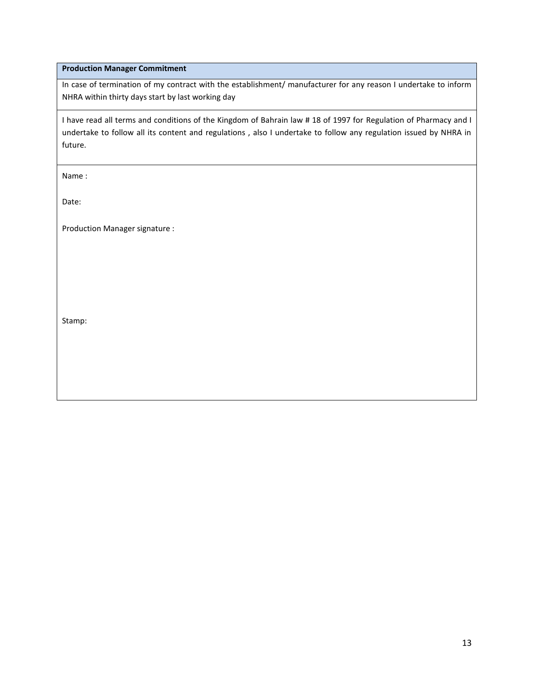#### **Production Manager Commitment**

In case of termination of my contract with the establishment/ manufacturer for any reason I undertake to inform NHRA within thirty days start by last working day

I have read all terms and conditions of the Kingdom of Bahrain law # 18 of 1997 for Regulation of Pharmacy and I undertake to follow all its content and regulations , also I undertake to follow any regulation issued by NHRA in future.

Name :

Date:

Production Manager signature :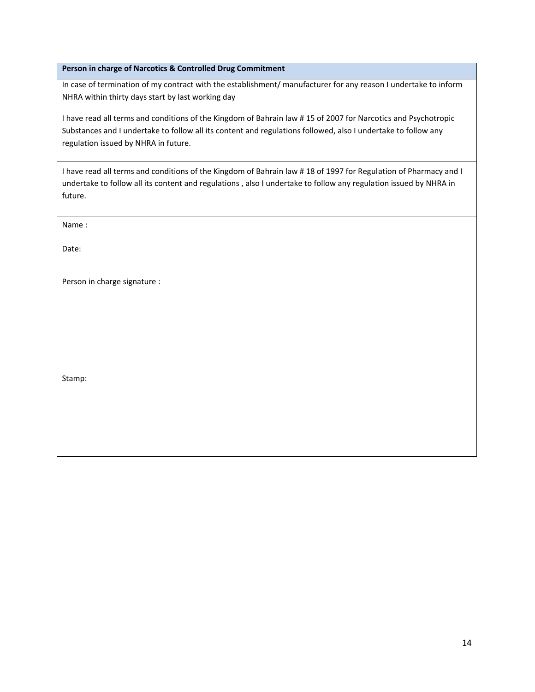#### **Person in charge of Narcotics & Controlled Drug Commitment**

In case of termination of my contract with the establishment/ manufacturer for any reason I undertake to inform NHRA within thirty days start by last working day

I have read all terms and conditions of the Kingdom of Bahrain law # 15 of 2007 for Narcotics and Psychotropic Substances and I undertake to follow all its content and regulations followed, also I undertake to follow any regulation issued by NHRA in future.

I have read all terms and conditions of the Kingdom of Bahrain law # 18 of 1997 for Regulation of Pharmacy and I undertake to follow all its content and regulations , also I undertake to follow any regulation issued by NHRA in future.

Name :

Date:

Person in charge signature :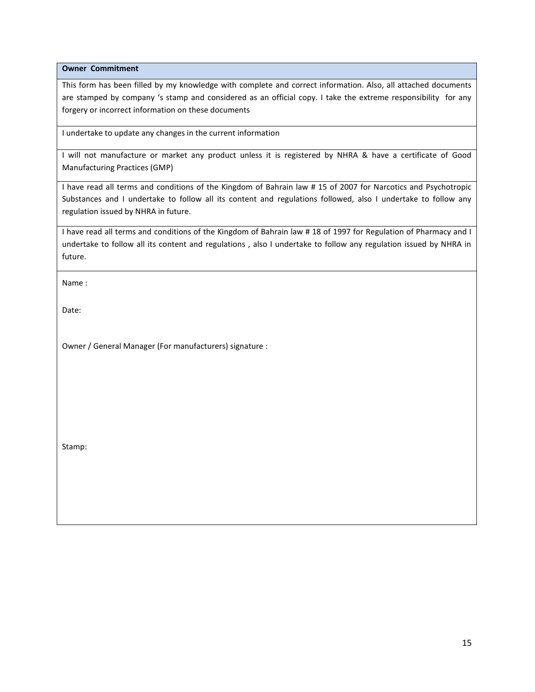**Owner Commitment**

This form has been filled by my knowledge with complete and correct information. Also, all attached documents are stamped by company 's stamp and considered as an official copy. I take the extreme responsibility for any forgery or incorrect information on these documents

I undertake to update any changes in the current information

I will not manufacture or market any product unless it is registered by NHRA & have a certificate of Good Manufacturing Practices (GMP)

I have read all terms and conditions of the Kingdom of Bahrain law # 15 of 2007 for Narcotics and Psychotropic Substances and I undertake to follow all its content and regulations followed, also I undertake to follow any regulation issued by NHRA in future.

I have read all terms and conditions of the Kingdom of Bahrain law # 18 of 1997 for Regulation of Pharmacy and I undertake to follow all its content and regulations , also I undertake to follow any regulation issued by NHRA in future.

Name :

Date:

Owner / General Manager (For manufacturers) signature :